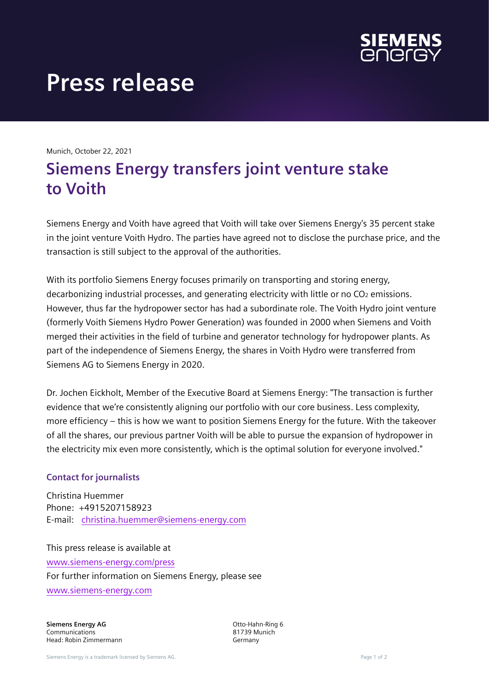

## **Press release**

Munich, October 22, 2021

## **Siemens Energy transfers joint venture stake to Voith**

Siemens Energy and Voith have agreed that Voith will take over Siemens Energy's 35 percent stake in the joint venture Voith Hydro. The parties have agreed not to disclose the purchase price, and the transaction is still subject to the approval of the authorities.

With its portfolio Siemens Energy focuses primarily on transporting and storing energy, decarbonizing industrial processes, and generating electricity with little or no CO<sub>2</sub> emissions. However, thus far the hydropower sector has had a subordinate role. The Voith Hydro joint venture (formerly Voith Siemens Hydro Power Generation) was founded in 2000 when Siemens and Voith merged their activities in the field of turbine and generator technology for hydropower plants. As part of the independence of Siemens Energy, the shares in Voith Hydro were transferred from Siemens AG to Siemens Energy in 2020.

Dr. Jochen Eickholt, Member of the Executive Board at Siemens Energy: "The transaction is further evidence that we're consistently aligning our portfolio with our core business. Less complexity, more efficiency – this is how we want to position Siemens Energy for the future. With the takeover of all the shares, our previous partner Voith will be able to pursue the expansion of hydropower in the electricity mix even more consistently, which is the optimal solution for everyone involved."

## **Contact for journalists**

Christina Huemmer Phone: +4915207158923 E-mail: [christina.huemmer@siemens-energy.com](mailto:christina.huemmer@siemens-energy.com)

This press release is available at [www.siemens-energy.com/press](http://www.siemensenergy.com/press) For further information on Siemens Energy, please see [www.siemens-energy.com](http://www.siemens-energy.com/)

**Siemens Energy AG** Communications Head: Robin Zimmermann Otto-Hahn-Ring 6 81739 Munich Germany